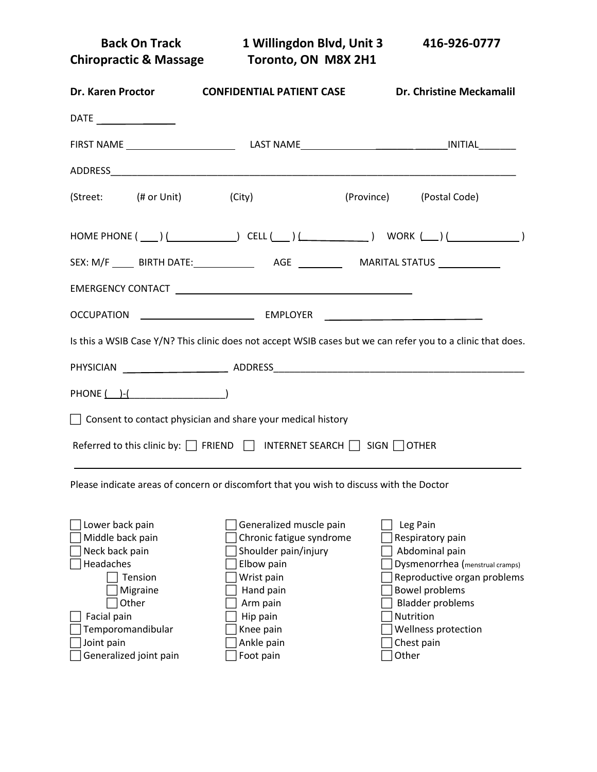**Back On Track 1 Willingdon Blvd, Unit 3 416-926-0777 Chiropractic & Massage Toronto, ON M8X 2H1 Dr. Karen Proctor CONFIDENTIAL PATIENT CASE Dr. Christine Meckamalil** DATE FIRST NAME LAST NAME \_\_\_\_\_\_\_ \_\_\_\_\_\_INITIAL\_\_\_\_\_\_\_ ADDRESS\_\_\_\_\_\_\_\_\_\_\_\_\_\_\_\_\_\_\_\_\_\_\_\_\_\_\_\_\_\_\_\_\_\_\_\_\_\_\_\_\_\_\_\_\_\_\_\_\_\_\_\_\_\_\_\_\_\_\_\_\_\_\_\_\_\_\_\_\_\_\_\_\_\_\_\_ (Street: (# or Unit) (City) (City) (Province) (Postal Code)

| $\texttt{HOME PHONE} \ (\hspace{15mm}\underline{\hspace{15mm}}\hspace{15mm}) \ (\hspace{15mm}\underline{\hspace{15mm}}\hspace{15mm}\hspace{15mm}\overbrace{\hspace{15mm}}\hspace{15mm}\overbrace{\hspace{15mm}}\hspace{15mm}\overbrace{\hspace{15mm}}\hspace{15mm}\overbrace{\hspace{15mm}}\hspace{15mm}\overbrace{\hspace{15mm}}\hspace{15mm}\overbrace{\hspace{15mm}}\hspace{15mm}\overbrace{\hspace{15mm}}\hspace{15mm}\overbrace{\hspace{15mm}}\hspace{15mm}\overbrace{\hspace{15$ | CELL ( ) <u>( )</u> | WORK $(\_\$ ) (       |  |
|----------------------------------------------------------------------------------------------------------------------------------------------------------------------------------------------------------------------------------------------------------------------------------------------------------------------------------------------------------------------------------------------------------------------------------------------------------------------------------------|---------------------|-----------------------|--|
| SEX: M/F BIRTH DATE:                                                                                                                                                                                                                                                                                                                                                                                                                                                                   | AGE                 | <b>MARITAL STATUS</b> |  |

| OCCUPATION | <b>EMPLOYER</b> |  |
|------------|-----------------|--|
|            |                 |  |

EMERGENCY CONTACT

Is this a WSIB Case Y/N? This clinic does not accept WSIB cases but we can refer you to a clinic that does.

| <b>PHYSICIAN</b>                                                   | ADDRESS                                                                                   |
|--------------------------------------------------------------------|-------------------------------------------------------------------------------------------|
| PHONE ( )-(                                                        |                                                                                           |
| $\Box$ Consent to contact physician and share your medical history |                                                                                           |
|                                                                    | Referred to this clinic by: $\Box$ FRIEND $\Box$ INTERNET SEARCH $\Box$ SIGN $\Box$ OTHER |

Please indicate areas of concern or discomfort that you wish to discuss with the Doctor

| Lower back pain        | Generalized muscle pain  | Leg Pain                        |
|------------------------|--------------------------|---------------------------------|
| Middle back pain       | Chronic fatigue syndrome | Respiratory pain                |
| Neck back pain         | Shoulder pain/injury     | Abdominal pain                  |
| Headaches              | Elbow pain               | Dysmenorrhea (menstrual cramps) |
| Tension                | Wrist pain               | Reproductive organ problems     |
| Migraine               | Hand pain                | Bowel problems                  |
| Other                  | Arm pain                 | <b>Bladder problems</b>         |
| Facial pain            | Hip pain                 | Nutrition                       |
| Temporomandibular      | Knee pain                | Wellness protection             |
| Joint pain             | Ankle pain               | Chest pain                      |
| Generalized joint pain | Foot pain                | Other                           |
|                        |                          |                                 |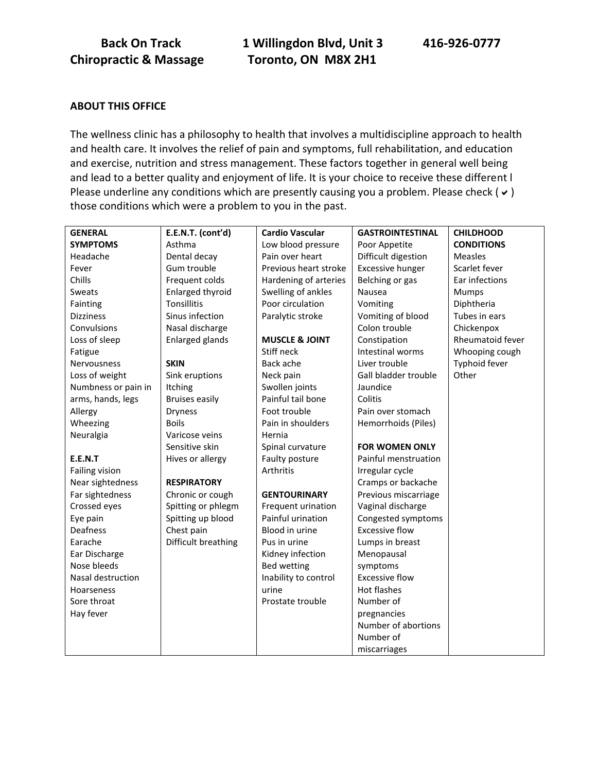**Back On Track 1 Willingdon Blvd, Unit 3 416-926-0777 Chiropractic & Massage Toronto, ON M8X 2H1**

# **ABOUT THIS OFFICE**

The wellness clinic has a philosophy to health that involves a multidiscipline approach to health and health care. It involves the relief of pain and symptoms, full rehabilitation, and education and exercise, nutrition and stress management. These factors together in general well being and lead to a better quality and enjoyment of life. It is your choice to receive these different l Please underline any conditions which are presently causing you a problem. Please check ( $\vee$ ) those conditions which were a problem to you in the past.

| <b>GENERAL</b>      | E.E.N.T. (cont'd)       | <b>Cardio Vascular</b>    | <b>GASTROINTESTINAL</b> | <b>CHILDHOOD</b>  |
|---------------------|-------------------------|---------------------------|-------------------------|-------------------|
| <b>SYMPTOMS</b>     | Asthma                  | Low blood pressure        | Poor Appetite           | <b>CONDITIONS</b> |
| Headache            | Dental decay            | Pain over heart           | Difficult digestion     | <b>Measles</b>    |
| Fever               | Gum trouble             | Previous heart stroke     | <b>Excessive hunger</b> | Scarlet fever     |
| Chills              | Frequent colds          | Hardening of arteries     | Belching or gas         | Ear infections    |
| Sweats              | <b>Enlarged thyroid</b> | Swelling of ankles        | Nausea                  | Mumps             |
| Fainting            | <b>Tonsillitis</b>      | Poor circulation          | Vomiting                | Diphtheria        |
| <b>Dizziness</b>    | Sinus infection         | Paralytic stroke          | Vomiting of blood       | Tubes in ears     |
| Convulsions         | Nasal discharge         |                           | Colon trouble           | Chickenpox        |
| Loss of sleep       | <b>Enlarged glands</b>  | <b>MUSCLE &amp; JOINT</b> | Constipation            | Rheumatoid fever  |
| Fatigue             |                         | Stiff neck                | Intestinal worms        | Whooping cough    |
| Nervousness         | <b>SKIN</b>             | Back ache                 | Liver trouble           | Typhoid fever     |
| Loss of weight      | Sink eruptions          | Neck pain                 | Gall bladder trouble    | Other             |
| Numbness or pain in | <b>Itching</b>          | Swollen joints            | Jaundice                |                   |
| arms, hands, legs   | <b>Bruises easily</b>   | Painful tail bone         | Colitis                 |                   |
| Allergy             | <b>Dryness</b>          | Foot trouble              | Pain over stomach       |                   |
| Wheezing            | <b>Boils</b>            | Pain in shoulders         | Hemorrhoids (Piles)     |                   |
| Neuralgia           | Varicose veins          | Hernia                    |                         |                   |
|                     | Sensitive skin          | Spinal curvature          | <b>FOR WOMEN ONLY</b>   |                   |
| E.E.N.T             | Hives or allergy        | Faulty posture            | Painful menstruation    |                   |
| Failing vision      |                         | Arthritis                 | Irregular cycle         |                   |
| Near sightedness    | <b>RESPIRATORY</b>      |                           | Cramps or backache      |                   |
| Far sightedness     | Chronic or cough        | <b>GENTOURINARY</b>       | Previous miscarriage    |                   |
| Crossed eyes        | Spitting or phlegm      | Frequent urination        | Vaginal discharge       |                   |
| Eye pain            | Spitting up blood       | Painful urination         | Congested symptoms      |                   |
| Deafness            | Chest pain              | Blood in urine            | <b>Excessive flow</b>   |                   |
| Earache             | Difficult breathing     | Pus in urine              | Lumps in breast         |                   |
| Ear Discharge       |                         | Kidney infection          | Menopausal              |                   |
| Nose bleeds         |                         | Bed wetting               | symptoms                |                   |
| Nasal destruction   |                         | Inability to control      | <b>Excessive flow</b>   |                   |
| Hoarseness          |                         | urine                     | Hot flashes             |                   |
| Sore throat         |                         | Prostate trouble          | Number of               |                   |
| Hay fever           |                         |                           | pregnancies             |                   |
|                     |                         |                           | Number of abortions     |                   |
|                     |                         |                           | Number of               |                   |
|                     |                         |                           | miscarriages            |                   |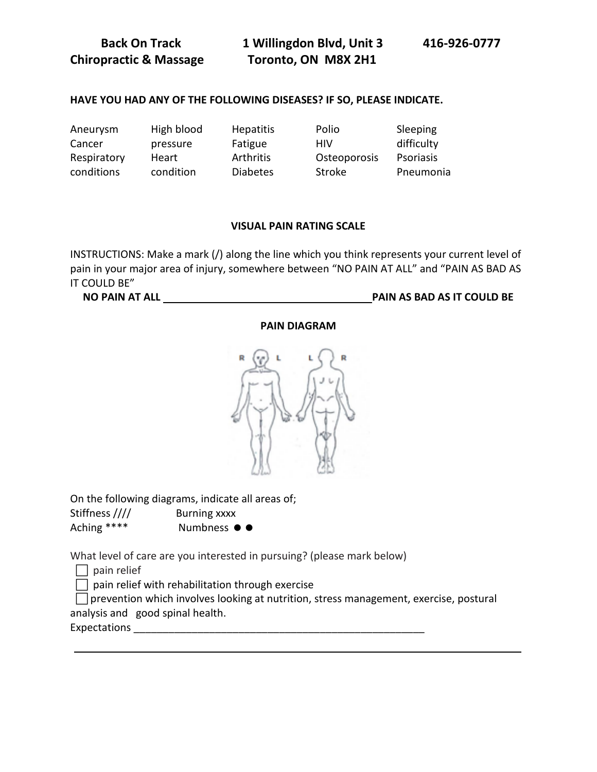**Back On Track 1 Willingdon Blvd, Unit 3 416-926-0777 Chiropractic & Massage Toronto, ON M8X 2H1**

# **HAVE YOU HAD ANY OF THE FOLLOWING DISEASES? IF SO, PLEASE INDICATE.**

| Aneurysm    | High blood | <b>Hepatitis</b> | Polio         | Sleeping         |
|-------------|------------|------------------|---------------|------------------|
| Cancer      | pressure   | Fatigue          | HIV           | difficulty       |
| Respiratory | Heart      | Arthritis        | Osteoporosis  | <b>Psoriasis</b> |
| conditions  | condition  | <b>Diabetes</b>  | <b>Stroke</b> | Pneumonia        |

### **VISUAL PAIN RATING SCALE**

INSTRUCTIONS: Make a mark (/) along the line which you think represents your current level of pain in your major area of injury, somewhere between "NO PAIN AT ALL" and "PAIN AS BAD AS IT COULD BE"

**NO PAIN AT ALL PAIN AS BAD AS IT COULD BE** 

| R |
|---|
|   |
|   |
|   |
|   |

On the following diagrams, indicate all areas of; Stiffness //// Burning xxxx

| <b>SUILITIESS ////</b> | <b>BUITHING XXXX</b> |
|------------------------|----------------------|
| Aching ****            | Numbness ● ●         |

What level of care are you interested in pursuing? (please mark below)

 $\Box$  pain relief

 $\Box$  pain relief with rehabilitation through exercise

 $\Box$  prevention which involves looking at nutrition, stress management, exercise, postural analysis and good spinal health.

Expectations

#### **PAIN DIAGRAM**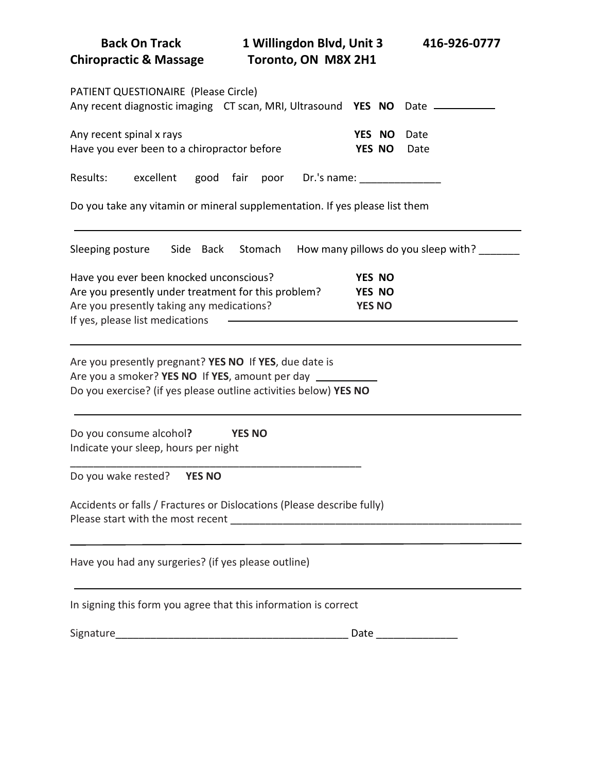| <b>Back On Track</b><br><b>Chiropractic &amp; Massage</b>                                                                                                                      | 1 Willingdon Blvd, Unit 3<br>Toronto, ON M8X 2H1 | 416-926-0777                      |                                     |
|--------------------------------------------------------------------------------------------------------------------------------------------------------------------------------|--------------------------------------------------|-----------------------------------|-------------------------------------|
| PATIENT QUESTIONAIRE (Please Circle)<br>Any recent diagnostic imaging CT scan, MRI, Ultrasound YES NO Date ____________                                                        |                                                  |                                   |                                     |
| Any recent spinal x rays<br>Have you ever been to a chiropractor before                                                                                                        |                                                  | YES NO<br>YES NO                  | Date<br>Date                        |
| excellent<br>Results:                                                                                                                                                          | good fair poor Dr.'s name:                       |                                   |                                     |
| Do you take any vitamin or mineral supplementation. If yes please list them                                                                                                    |                                                  |                                   |                                     |
| Sleeping posture<br>Side Back                                                                                                                                                  | Stomach                                          |                                   | How many pillows do you sleep with? |
| Have you ever been knocked unconscious?<br>Are you presently under treatment for this problem?<br>Are you presently taking any medications?<br>If yes, please list medications |                                                  | YES NO<br>YES NO<br><b>YES NO</b> |                                     |
| Are you presently pregnant? YES NO If YES, due date is<br>Are you a smoker? YES NO If YES, amount per day<br>Do you exercise? (if yes please outline activities below) YES NO  |                                                  |                                   |                                     |
| Do you consume alcohol?<br>Indicate your sleep, hours per night                                                                                                                | <b>YES NO</b>                                    |                                   |                                     |
| Do you wake rested?<br><b>YES NO</b>                                                                                                                                           |                                                  |                                   |                                     |
| Accidents or falls / Fractures or Dislocations (Please describe fully)                                                                                                         |                                                  |                                   |                                     |
| Have you had any surgeries? (if yes please outline)                                                                                                                            |                                                  |                                   |                                     |
| In signing this form you agree that this information is correct                                                                                                                |                                                  |                                   |                                     |
|                                                                                                                                                                                |                                                  |                                   |                                     |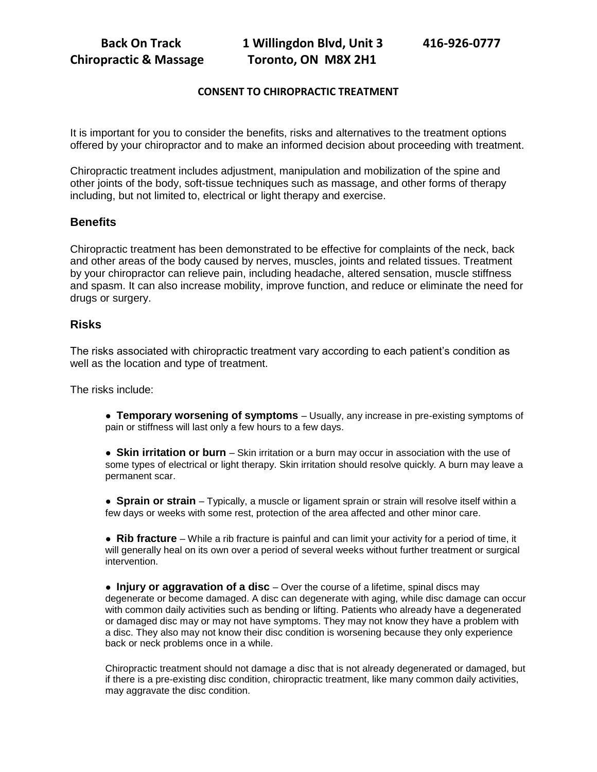# **CONSENT TO CHIROPRACTIC TREATMENT**

It is important for you to consider the benefits, risks and alternatives to the treatment options offered by your chiropractor and to make an informed decision about proceeding with treatment.

Chiropractic treatment includes adjustment, manipulation and mobilization of the spine and other joints of the body, soft-tissue techniques such as massage, and other forms of therapy including, but not limited to, electrical or light therapy and exercise.

# **Benefits**

Chiropractic treatment has been demonstrated to be effective for complaints of the neck, back and other areas of the body caused by nerves, muscles, joints and related tissues. Treatment by your chiropractor can relieve pain, including headache, altered sensation, muscle stiffness and spasm. It can also increase mobility, improve function, and reduce or eliminate the need for drugs or surgery.

### **Risks**

The risks associated with chiropractic treatment vary according to each patient's condition as well as the location and type of treatment.

The risks include:

● **Temporary worsening of symptoms** – Usually, any increase in pre-existing symptoms of pain or stiffness will last only a few hours to a few days.

● **Skin irritation or burn** – Skin irritation or a burn may occur in association with the use of some types of electrical or light therapy. Skin irritation should resolve quickly. A burn may leave a permanent scar.

● **Sprain or strain** – Typically, a muscle or ligament sprain or strain will resolve itself within a few days or weeks with some rest, protection of the area affected and other minor care.

● **Rib fracture** – While a rib fracture is painful and can limit your activity for a period of time, it will generally heal on its own over a period of several weeks without further treatment or surgical intervention.

**• Injury or aggravation of a disc** – Over the course of a lifetime, spinal discs may degenerate or become damaged. A disc can degenerate with aging, while disc damage can occur with common daily activities such as bending or lifting. Patients who already have a degenerated or damaged disc may or may not have symptoms. They may not know they have a problem with a disc. They also may not know their disc condition is worsening because they only experience back or neck problems once in a while.

Chiropractic treatment should not damage a disc that is not already degenerated or damaged, but if there is a pre-existing disc condition, chiropractic treatment, like many common daily activities, may aggravate the disc condition.